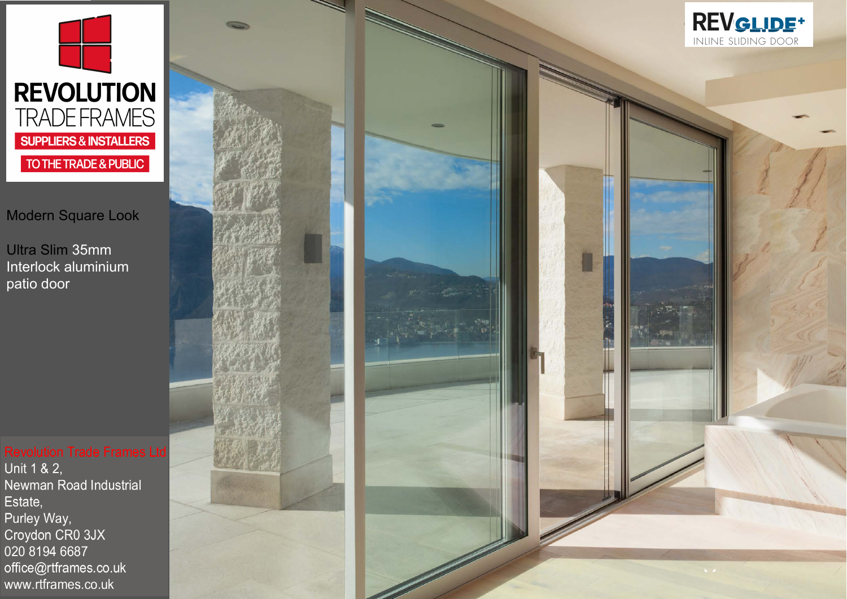

## Modern Square Look

Ultra Slim 35mm Interlock aluminium patio door

Unit 1 & 2, Newman Road Industrial Estate, Purley Way, Croydon CR0 3JX 020 8194 6687 office@rtframes.co.uk www.rtframes.co.uk